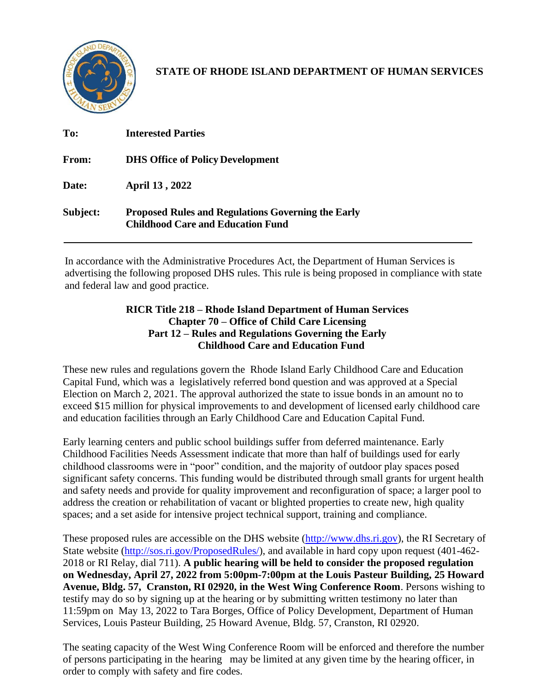

**STATE OF RHODE ISLAND DEPARTMENT OF HUMAN SERVICES**

| To:      | <b>Interested Parties</b>                                                                             |
|----------|-------------------------------------------------------------------------------------------------------|
| From:    | <b>DHS Office of Policy Development</b>                                                               |
| Date:    | April 13, 2022                                                                                        |
| Subject: | <b>Proposed Rules and Regulations Governing the Early</b><br><b>Childhood Care and Education Fund</b> |

In accordance with the Administrative Procedures Act, the Department of Human Services is advertising the following proposed DHS rules. This rule is being proposed in compliance with state and federal law and good practice.

## **RICR Title 218 – Rhode Island Department of Human Services Chapter 70 – Office of Child Care Licensing Part 12 – Rules and Regulations Governing the Early Childhood Care and Education Fund**

These new rules and regulations govern the Rhode Island Early Childhood Care and Education Capital Fund, which was a legislatively referred bond question and was approved at a Special Election on March 2, 2021. The approval authorized the state to issue bonds in an amount no to exceed \$15 million for physical improvements to and development of licensed early childhood care and education facilities through an Early Childhood Care and Education Capital Fund.

Early learning centers and public school buildings suffer from deferred maintenance. Early Childhood Facilities Needs Assessment indicate that more than half of buildings used for early childhood classrooms were in "poor" condition, and the majority of outdoor play spaces posed significant safety concerns. This funding would be distributed through small grants for urgent health and safety needs and provide for quality improvement and reconfiguration of space; a larger pool to address the creation or rehabilitation of vacant or blighted properties to create new, high quality spaces; and a set aside for intensive project technical support, training and compliance.

These proposed rules are accessible on the DHS website [\(http://www.dhs.ri.gov\)](http://www.dhs.ri.gov/), the RI Secretary of State website [\(http://sos.ri.gov/ProposedRules/\)](http://sos.ri.gov/ProposedRules/), and available in hard copy upon request (401-462-2018 or RI Relay, dial 711). **A public hearing will be held to consider the proposed regulation on Wednesday, April 27, 2022 from 5:00pm-7:00pm at the Louis Pasteur Building, 25 Howard Avenue, Bldg. 57, Cranston, RI 02920, in the West Wing Conference Room**. Persons wishing to testify may do so by signing up at the hearing or by submitting written testimony no later than 11:59pm on May 13, 2022 to Tara Borges, Office of Policy Development, Department of Human Services, Louis Pasteur Building, 25 Howard Avenue, Bldg. 57, Cranston, RI 02920.

The seating capacity of the West Wing Conference Room will be enforced and therefore the number of persons participating in the hearing may be limited at any given time by the hearing officer, in order to comply with safety and fire codes.